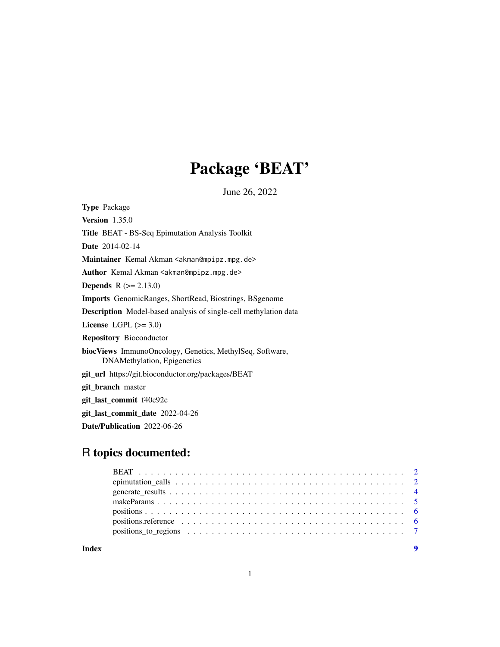## Package 'BEAT'

June 26, 2022

Type Package Version 1.35.0 Title BEAT - BS-Seq Epimutation Analysis Toolkit Date 2014-02-14 Maintainer Kemal Akman <akman@mpipz.mpg.de> Author Kemal Akman <akman@mpipz.mpg.de> **Depends**  $R (= 2.13.0)$ Imports GenomicRanges, ShortRead, Biostrings, BSgenome Description Model-based analysis of single-cell methylation data License LGPL  $(>= 3.0)$ Repository Bioconductor biocViews ImmunoOncology, Genetics, MethylSeq, Software, DNAMethylation, Epigenetics git\_url https://git.bioconductor.org/packages/BEAT git\_branch master git\_last\_commit f40e92c git\_last\_commit\_date 2022-04-26 Date/Publication 2022-06-26

### R topics documented:

| positions to regions $\ldots \ldots \ldots \ldots \ldots \ldots \ldots \ldots \ldots \ldots \ldots \ldots$ |  |
|------------------------------------------------------------------------------------------------------------|--|
|                                                                                                            |  |

**Index** [9](#page-8-0)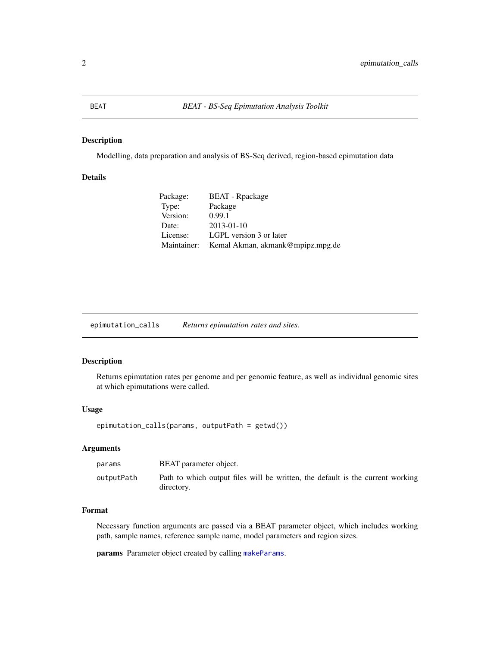#### <span id="page-1-0"></span>Description

Modelling, data preparation and analysis of BS-Seq derived, region-based epimutation data

#### Details

| Package:    | <b>BEAT</b> - Rpackage           |
|-------------|----------------------------------|
| Type:       | Package                          |
| Version:    | 0.99.1                           |
| Date:       | $2013 - 01 - 10$                 |
| License:    | LGPL version 3 or later          |
| Maintainer: | Kemal Akman, akmank@mpipz.mpg.de |

epimutation\_calls *Returns epimutation rates and sites.*

#### Description

Returns epimutation rates per genome and per genomic feature, as well as individual genomic sites at which epimutations were called.

#### Usage

```
epimutation_calls(params, outputPath = getwd())
```
#### Arguments

| params     | BEAT parameter object.                                                                       |
|------------|----------------------------------------------------------------------------------------------|
| outputPath | Path to which output files will be written, the default is the current working<br>directory. |

#### Format

Necessary function arguments are passed via a BEAT parameter object, which includes working path, sample names, reference sample name, model parameters and region sizes.

params Parameter object created by calling [makeParams](#page-4-1).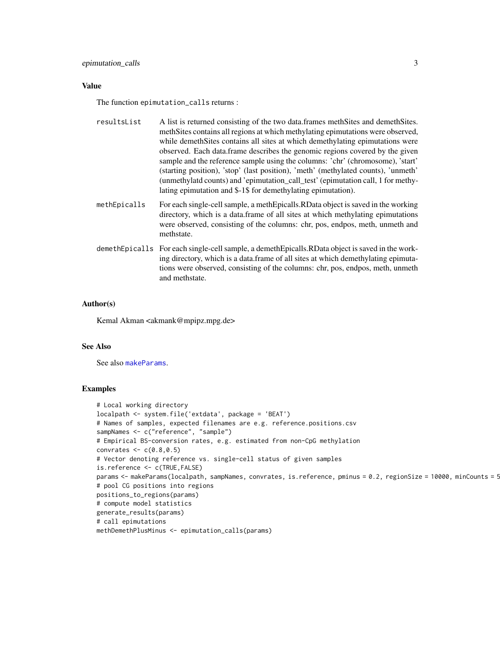#### Value

The function epimutation\_calls returns :

| resultsList  | A list is returned consisting of the two data frames meth Sites and demeth Sites.<br>meth Sites contains all regions at which methylating epimutations were observed,<br>while demeth Sites contains all sites at which demethylating epimutations were<br>observed. Each data frame describes the genomic regions covered by the given<br>sample and the reference sample using the columns: 'chr' (chromosome), 'start'<br>(starting position), 'stop' (last position), 'meth' (methylated counts), 'unmeth'<br>(unmethylatd counts) and 'epimutation_call_test' (epimutation call, 1 for methy-<br>lating epimutation and \$-1\$ for demethylating epimutation). |
|--------------|---------------------------------------------------------------------------------------------------------------------------------------------------------------------------------------------------------------------------------------------------------------------------------------------------------------------------------------------------------------------------------------------------------------------------------------------------------------------------------------------------------------------------------------------------------------------------------------------------------------------------------------------------------------------|
| methEpicalls | For each single-cell sample, a meth Epicalls. RD at a object is saved in the working<br>directory, which is a data frame of all sites at which methylating epimutations<br>were observed, consisting of the columns: chr, pos, endpos, meth, unmeth and<br>methstate.                                                                                                                                                                                                                                                                                                                                                                                               |
|              | demethEpicalls For each single-cell sample, a demethEpicalls.RData object is saved in the work-<br>ing directory, which is a data frame of all sites at which demethylating epimuta-                                                                                                                                                                                                                                                                                                                                                                                                                                                                                |

tions were observed, consisting of the columns: chr, pos, endpos, meth, unmeth

#### Author(s)

Kemal Akman <akmank@mpipz.mpg.de>

and methstate.

#### See Also

See also [makeParams](#page-4-1).

#### Examples

```
# Local working directory
localpath <- system.file('extdata', package = 'BEAT')
# Names of samples, expected filenames are e.g. reference.positions.csv
sampNames <- c("reference", "sample")
# Empirical BS-conversion rates, e.g. estimated from non-CpG methylation
convrates <-c(0.8,0.5)# Vector denoting reference vs. single-cell status of given samples
is.reference <- c(TRUE,FALSE)
params <- makeParams(localpath, sampNames, convrates, is.reference, pminus = 0.2, regionSize = 10000, minCounts = 5
# pool CG positions into regions
positions_to_regions(params)
# compute model statistics
generate_results(params)
# call epimutations
methDemethPlusMinus <- epimutation_calls(params)
```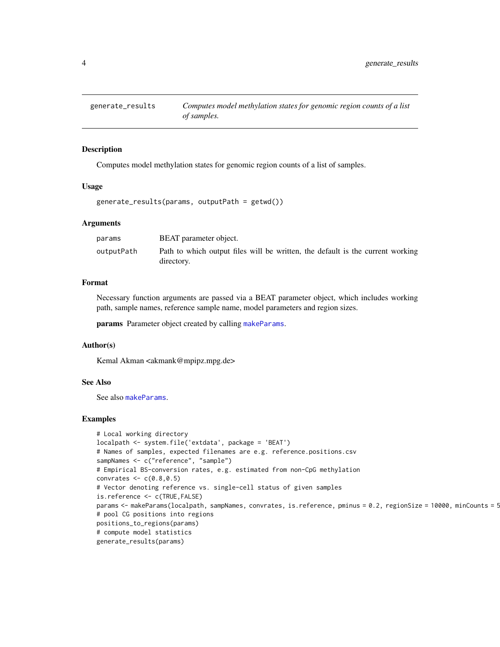<span id="page-3-0"></span>

#### Description

Computes model methylation states for genomic region counts of a list of samples.

#### Usage

generate\_results(params, outputPath = getwd())

#### Arguments

| params     | BEAT parameter object.                                                                       |
|------------|----------------------------------------------------------------------------------------------|
| outputPath | Path to which output files will be written, the default is the current working<br>directory. |

#### Format

Necessary function arguments are passed via a BEAT parameter object, which includes working path, sample names, reference sample name, model parameters and region sizes.

params Parameter object created by calling [makeParams](#page-4-1).

#### Author(s)

Kemal Akman <akmank@mpipz.mpg.de>

#### See Also

See also [makeParams](#page-4-1).

#### Examples

```
# Local working directory
localpath <- system.file('extdata', package = 'BEAT')
# Names of samples, expected filenames are e.g. reference.positions.csv
sampNames <- c("reference", "sample")
# Empirical BS-conversion rates, e.g. estimated from non-CpG methylation
convrates \leq c(0.8, 0.5)# Vector denoting reference vs. single-cell status of given samples
is.reference <- c(TRUE,FALSE)
params <- makeParams(localpath, sampNames, convrates, is.reference, pminus = 0.2, regionSize = 10000, minCounts = 5
# pool CG positions into regions
positions_to_regions(params)
# compute model statistics
generate_results(params)
```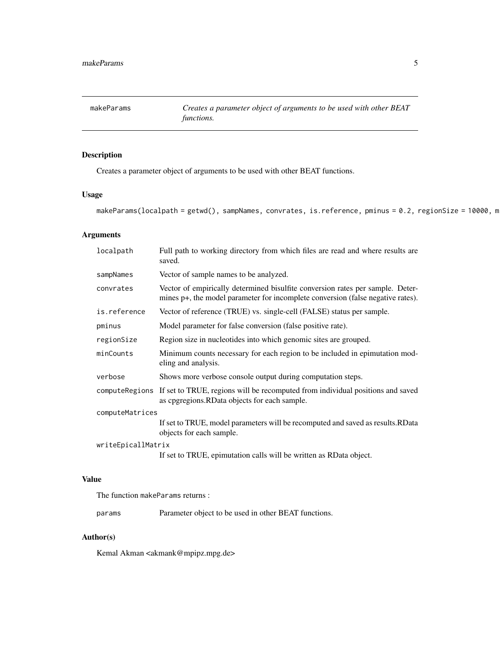<span id="page-4-1"></span><span id="page-4-0"></span>makeParams *Creates a parameter object of arguments to be used with other BEAT functions.*

#### Description

Creates a parameter object of arguments to be used with other BEAT functions.

#### Usage

```
makeParams(localpath = getwd(), sampNames, convrates, is.reference, pminus = 0.2, regionSize = 10000, m
```
#### Arguments

| localpath          | Full path to working directory from which files are read and where results are<br>saved.                                                                          |  |
|--------------------|-------------------------------------------------------------------------------------------------------------------------------------------------------------------|--|
| sampNames          | Vector of sample names to be analyzed.                                                                                                                            |  |
| convrates          | Vector of empirically determined bisulfite conversion rates per sample. Deter-<br>mines p+, the model parameter for incomplete conversion (false negative rates). |  |
| is.reference       | Vector of reference (TRUE) vs. single-cell (FALSE) status per sample.                                                                                             |  |
| pminus             | Model parameter for false conversion (false positive rate).                                                                                                       |  |
| regionSize         | Region size in nucleotides into which genomic sites are grouped.                                                                                                  |  |
| minCounts          | Minimum counts necessary for each region to be included in epimutation mod-<br>eling and analysis.                                                                |  |
| verbose            | Shows more verbose console output during computation steps.                                                                                                       |  |
|                    | computeRegions If set to TRUE, regions will be recomputed from individual positions and saved<br>as epgregions. RD at a objects for each sample.                  |  |
| computeMatrices    |                                                                                                                                                                   |  |
|                    | If set to TRUE, model parameters will be recomputed and saved as results. RData<br>objects for each sample.                                                       |  |
| writeEpicallMatrix |                                                                                                                                                                   |  |
|                    | If set to TRUE, epimutation calls will be written as RData object.                                                                                                |  |

#### Value

The function makeParams returns :

params Parameter object to be used in other BEAT functions.

#### Author(s)

Kemal Akman <akmank@mpipz.mpg.de>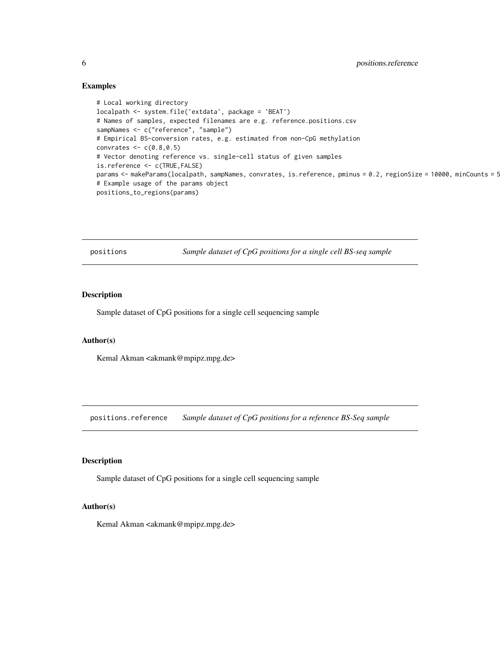#### Examples

```
# Local working directory
localpath <- system.file('extdata', package = 'BEAT')
# Names of samples, expected filenames are e.g. reference.positions.csv
sampNames <- c("reference", "sample")
# Empirical BS-conversion rates, e.g. estimated from non-CpG methylation
convrates <-c(0.8,0.5)# Vector denoting reference vs. single-cell status of given samples
is.reference <- c(TRUE,FALSE)
params <- makeParams(localpath, sampNames, convrates, is.reference, pminus = 0.2, regionSize = 10000, minCounts = 5
# Example usage of the params object
positions_to_regions(params)
```
positions *Sample dataset of CpG positions for a single cell BS-seq sample*

#### Description

Sample dataset of CpG positions for a single cell sequencing sample

#### Author(s)

Kemal Akman <akmank@mpipz.mpg.de>

positions.reference *Sample dataset of CpG positions for a reference BS-Seq sample*

#### Description

Sample dataset of CpG positions for a single cell sequencing sample

#### Author(s)

Kemal Akman <akmank@mpipz.mpg.de>

<span id="page-5-0"></span>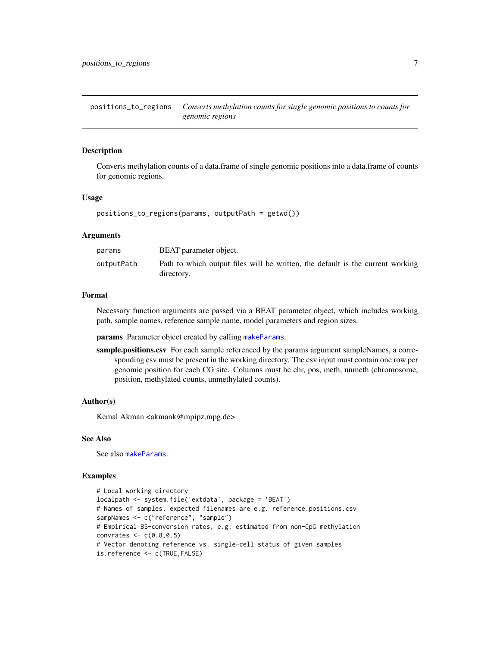<span id="page-6-0"></span>positions\_to\_regions *Converts methylation counts for single genomic positions to counts for genomic regions*

#### **Description**

Converts methylation counts of a data.frame of single genomic positions into a data.frame of counts for genomic regions.

#### Usage

 $positions_to_regions(params, outputPath = getwd())$ 

#### Arguments

| params     | BEAT parameter object.                                                                       |
|------------|----------------------------------------------------------------------------------------------|
| outputPath | Path to which output files will be written, the default is the current working<br>directory. |

#### Format

Necessary function arguments are passed via a BEAT parameter object, which includes working path, sample names, reference sample name, model parameters and region sizes.

params Parameter object created by calling [makeParams](#page-4-1).

sample.positions.csv For each sample referenced by the params argument sampleNames, a corresponding csv must be present in the working directory. The csv input must contain one row per genomic position for each CG site. Columns must be chr, pos, meth, unmeth (chromosome, position, methylated counts, unmethylated counts).

#### Author(s)

Kemal Akman <akmank@mpipz.mpg.de>

#### See Also

See also [makeParams](#page-4-1).

#### Examples

```
# Local working directory
localpath <- system.file('extdata', package = 'BEAT')
# Names of samples, expected filenames are e.g. reference.positions.csv
sampNames <- c("reference", "sample")
# Empirical BS-conversion rates, e.g. estimated from non-CpG methylation
convrates \leq c(0.8, 0.5)# Vector denoting reference vs. single-cell status of given samples
is.reference <- c(TRUE,FALSE)
```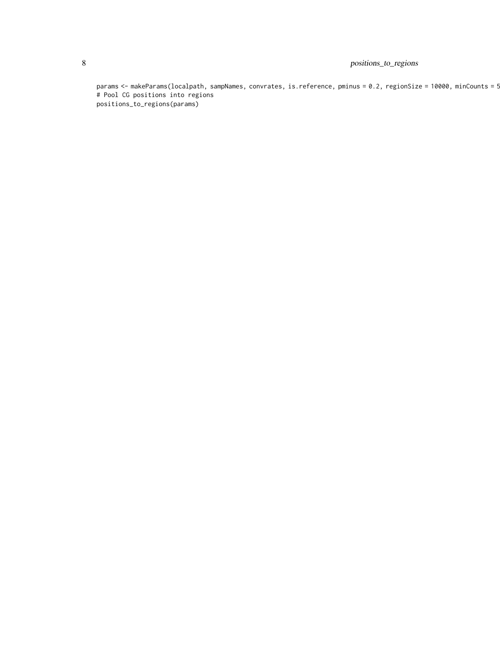#### 8 positions\_to\_regions

params <- makeParams(localpath, sampNames, convrates, is.reference, pminus = 0.2, regionSize = 10000, minCounts = 5 # Pool CG positions into regions positions\_to\_regions(params)